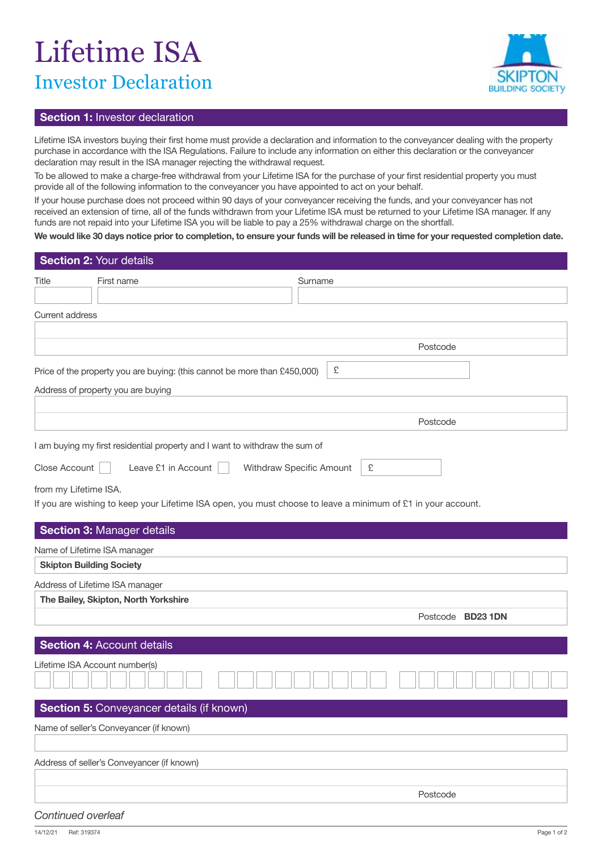## Lifetime ISA Investor Declaration



## **Section 1:** Investor declaration

Lifetime ISA investors buying their first home must provide a declaration and information to the conveyancer dealing with the property purchase in accordance with the ISA Regulations. Failure to include any information on either this declaration or the conveyancer declaration may result in the ISA manager rejecting the withdrawal request.

To be allowed to make a charge-free withdrawal from your Lifetime ISA for the purchase of your first residential property you must provide all of the following information to the conveyancer you have appointed to act on your behalf.

If your house purchase does not proceed within 90 days of your conveyancer receiving the funds, and your conveyancer has not received an extension of time, all of the funds withdrawn from your Lifetime ISA must be returned to your Lifetime ISA manager. If any funds are not repaid into your Lifetime ISA you will be liable to pay a 25% withdrawal charge on the shortfall.

**We would like 30 days notice prior to completion, to ensure your funds will be released in time for your requested completion date.**

|                        | Section 2: Your details                                                                                      |                          |   |                   |  |
|------------------------|--------------------------------------------------------------------------------------------------------------|--------------------------|---|-------------------|--|
| Title                  | First name                                                                                                   | Surname                  |   |                   |  |
|                        |                                                                                                              |                          |   |                   |  |
| <b>Current address</b> |                                                                                                              |                          |   |                   |  |
|                        |                                                                                                              |                          |   |                   |  |
|                        |                                                                                                              |                          |   | Postcode          |  |
|                        | Price of the property you are buying: (this cannot be more than £450,000)                                    |                          | £ |                   |  |
|                        | Address of property you are buying                                                                           |                          |   |                   |  |
|                        |                                                                                                              |                          |   |                   |  |
|                        |                                                                                                              |                          |   | Postcode          |  |
|                        |                                                                                                              |                          |   |                   |  |
|                        | I am buying my first residential property and I want to withdraw the sum of                                  |                          |   |                   |  |
| Close Account          | Leave £1 in Account                                                                                          | Withdraw Specific Amount | £ |                   |  |
| from my Lifetime ISA.  |                                                                                                              |                          |   |                   |  |
|                        | If you are wishing to keep your Lifetime ISA open, you must choose to leave a minimum of £1 in your account. |                          |   |                   |  |
|                        |                                                                                                              |                          |   |                   |  |
|                        | <b>Section 3: Manager details</b>                                                                            |                          |   |                   |  |
|                        | Name of Lifetime ISA manager                                                                                 |                          |   |                   |  |
|                        | <b>Skipton Building Society</b>                                                                              |                          |   |                   |  |
|                        | Address of Lifetime ISA manager                                                                              |                          |   |                   |  |
|                        | The Bailey, Skipton, North Yorkshire                                                                         |                          |   |                   |  |
|                        |                                                                                                              |                          |   | Postcode BD23 1DN |  |
|                        | <b>Section 4: Account details</b>                                                                            |                          |   |                   |  |
|                        | Lifetime ISA Account number(s)                                                                               |                          |   |                   |  |
|                        |                                                                                                              |                          |   |                   |  |
|                        |                                                                                                              |                          |   |                   |  |
|                        | Section 5: Conveyancer details (if known)                                                                    |                          |   |                   |  |
|                        | Name of seller's Conveyancer (if known)                                                                      |                          |   |                   |  |
|                        |                                                                                                              |                          |   |                   |  |
|                        | Address of seller's Conveyancer (if known)                                                                   |                          |   |                   |  |
|                        |                                                                                                              |                          |   |                   |  |
|                        |                                                                                                              |                          |   | Postcode          |  |
| Continued overleaf     |                                                                                                              |                          |   |                   |  |